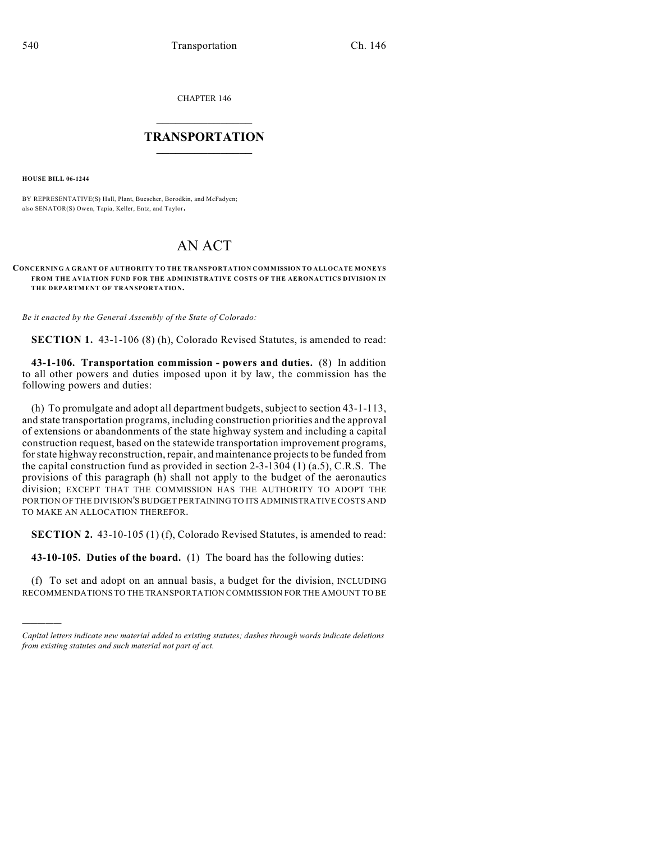CHAPTER 146

## $\overline{\phantom{a}}$  . The set of the set of the set of the set of the set of the set of the set of the set of the set of the set of the set of the set of the set of the set of the set of the set of the set of the set of the set o **TRANSPORTATION**  $\_$   $\_$   $\_$   $\_$   $\_$   $\_$   $\_$   $\_$   $\_$

**HOUSE BILL 06-1244**

)))))

BY REPRESENTATIVE(S) Hall, Plant, Buescher, Borodkin, and McFadyen; also SENATOR(S) Owen, Tapia, Keller, Entz, and Taylor.

## AN ACT

**CONCERNING A GRANT OF AUTHORITY TO THE TRANSPORTATION COMMISSION TO ALLOCATE MONEYS FROM THE AVIATION FUND FOR THE ADMINISTRATIVE COSTS OF THE AERONAUTICS DIVISION IN THE DEPARTMENT OF TRANSPORTATION.**

*Be it enacted by the General Assembly of the State of Colorado:*

**SECTION 1.** 43-1-106 (8) (h), Colorado Revised Statutes, is amended to read:

**43-1-106. Transportation commission - powers and duties.** (8) In addition to all other powers and duties imposed upon it by law, the commission has the following powers and duties:

(h) To promulgate and adopt all department budgets, subject to section 43-1-113, and state transportation programs, including construction priorities and the approval of extensions or abandonments of the state highway system and including a capital construction request, based on the statewide transportation improvement programs, for state highway reconstruction, repair, and maintenance projects to be funded from the capital construction fund as provided in section 2-3-1304 (1) (a.5), C.R.S. The provisions of this paragraph (h) shall not apply to the budget of the aeronautics division; EXCEPT THAT THE COMMISSION HAS THE AUTHORITY TO ADOPT THE PORTION OF THE DIVISION'S BUDGET PERTAINING TO ITS ADMINISTRATIVE COSTS AND TO MAKE AN ALLOCATION THEREFOR.

**SECTION 2.** 43-10-105 (1) (f), Colorado Revised Statutes, is amended to read:

**43-10-105. Duties of the board.** (1) The board has the following duties:

(f) To set and adopt on an annual basis, a budget for the division, INCLUDING RECOMMENDATIONS TO THE TRANSPORTATION COMMISSION FOR THE AMOUNT TO BE

*Capital letters indicate new material added to existing statutes; dashes through words indicate deletions from existing statutes and such material not part of act.*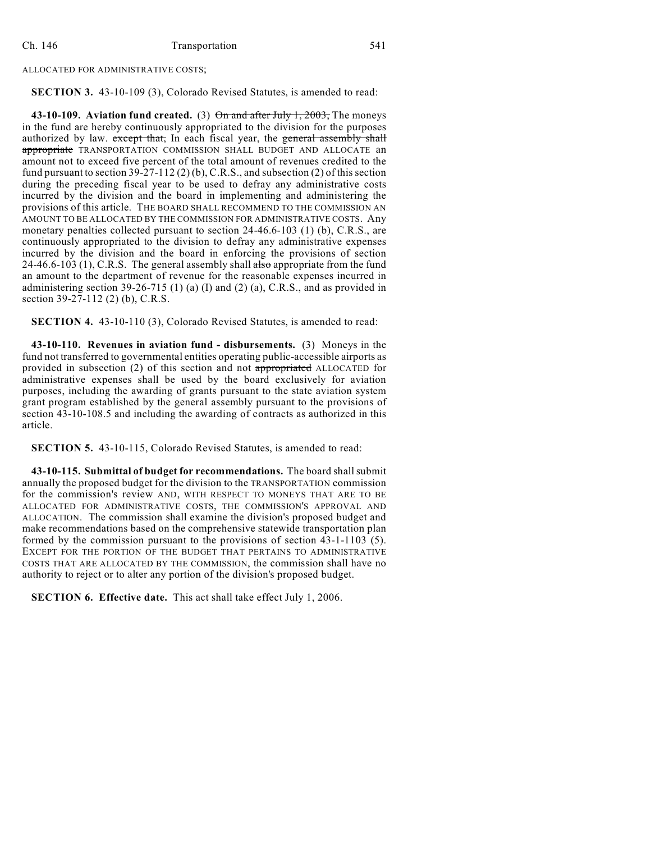## ALLOCATED FOR ADMINISTRATIVE COSTS;

## **SECTION 3.** 43-10-109 (3), Colorado Revised Statutes, is amended to read:

**43-10-109. Aviation fund created.** (3) On and after July 1, 2003, The moneys in the fund are hereby continuously appropriated to the division for the purposes authorized by law. except that, In each fiscal year, the general assembly shall appropriate TRANSPORTATION COMMISSION SHALL BUDGET AND ALLOCATE an amount not to exceed five percent of the total amount of revenues credited to the fund pursuant to section  $39-27-112(2)(b)$ , C.R.S., and subsection (2) of this section during the preceding fiscal year to be used to defray any administrative costs incurred by the division and the board in implementing and administering the provisions of this article. THE BOARD SHALL RECOMMEND TO THE COMMISSION AN AMOUNT TO BE ALLOCATED BY THE COMMISSION FOR ADMINISTRATIVE COSTS. Any monetary penalties collected pursuant to section 24-46.6-103 (1) (b), C.R.S., are continuously appropriated to the division to defray any administrative expenses incurred by the division and the board in enforcing the provisions of section 24-46.6-103 (1), C.R.S. The general assembly shall  $a \cdot b$  appropriate from the fund an amount to the department of revenue for the reasonable expenses incurred in administering section 39-26-715 (1) (a) (I) and (2) (a), C.R.S., and as provided in section 39-27-112 (2) (b), C.R.S.

**SECTION 4.** 43-10-110 (3), Colorado Revised Statutes, is amended to read:

**43-10-110. Revenues in aviation fund - disbursements.** (3) Moneys in the fund not transferred to governmental entities operating public-accessible airports as provided in subsection (2) of this section and not appropriated ALLOCATED for administrative expenses shall be used by the board exclusively for aviation purposes, including the awarding of grants pursuant to the state aviation system grant program established by the general assembly pursuant to the provisions of section 43-10-108.5 and including the awarding of contracts as authorized in this article.

**SECTION 5.** 43-10-115, Colorado Revised Statutes, is amended to read:

**43-10-115. Submittal of budget for recommendations.** The board shall submit annually the proposed budget for the division to the TRANSPORTATION commission for the commission's review AND, WITH RESPECT TO MONEYS THAT ARE TO BE ALLOCATED FOR ADMINISTRATIVE COSTS, THE COMMISSION'S APPROVAL AND ALLOCATION. The commission shall examine the division's proposed budget and make recommendations based on the comprehensive statewide transportation plan formed by the commission pursuant to the provisions of section 43-1-1103 (5). EXCEPT FOR THE PORTION OF THE BUDGET THAT PERTAINS TO ADMINISTRATIVE COSTS THAT ARE ALLOCATED BY THE COMMISSION, the commission shall have no authority to reject or to alter any portion of the division's proposed budget.

**SECTION 6. Effective date.** This act shall take effect July 1, 2006.